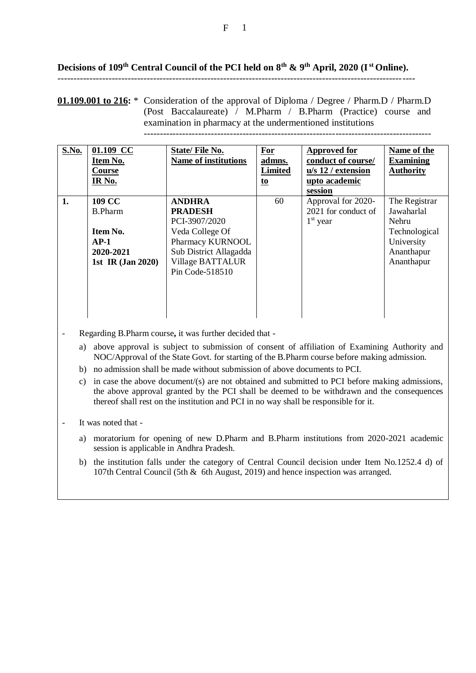## **Decisions of 109th Central Council of the PCI held on 8th & 9th April, 2020 (Ist Online).** ----------------------------------------------------------------------------------------------------------------

## **01.109.001 to 216:** \* Consideration of the approval of Diploma / Degree / Pharm.D / Pharm.D (Post Baccalaureate) / M.Pharm / B.Pharm (Practice) course and examination in pharmacy at the undermentioned institutions ------------------------------------------------------------------------------------------

| S.No. | 01.109 CC<br>Item No.<br>Course<br>IR No.                                                            | <b>State/File No.</b><br><b>Name of institutions</b>                                                                                                     | For<br>admns.<br><b>Limited</b><br><u>to</u> | <b>Approved for</b><br>conduct of course/<br>u/s 12 / extension<br>upto academic<br>session | Name of the<br><b>Examining</b><br><b>Authority</b>                                                    |
|-------|------------------------------------------------------------------------------------------------------|----------------------------------------------------------------------------------------------------------------------------------------------------------|----------------------------------------------|---------------------------------------------------------------------------------------------|--------------------------------------------------------------------------------------------------------|
| 1.    | <b>109 CC</b><br><b>B.Pharm</b><br>Item No.<br>$AP-1$<br>2020-2021<br>1st IR $\overline{(Jan 2020)}$ | <b>ANDHRA</b><br><b>PRADESH</b><br>PCI-3907/2020<br>Veda College Of<br>Pharmacy KURNOOL<br>Sub District Allagadda<br>Village BATTALUR<br>Pin Code-518510 | 60                                           | Approval for 2020-<br>2021 for conduct of<br>$1st$ year                                     | The Registrar<br>Jawaharlal<br><b>Nehru</b><br>Technological<br>University<br>Ananthapur<br>Ananthapur |

- Regarding B.Pharm course**,** it was further decided that
	- a) above approval is subject to submission of consent of affiliation of Examining Authority and NOC/Approval of the State Govt. for starting of the B.Pharm course before making admission.
	- b) no admission shall be made without submission of above documents to PCI.
	- c) in case the above document/ $(s)$  are not obtained and submitted to PCI before making admissions, the above approval granted by the PCI shall be deemed to be withdrawn and the consequences thereof shall rest on the institution and PCI in no way shall be responsible for it.

- It was noted that -

- a) moratorium for opening of new D.Pharm and B.Pharm institutions from 2020-2021 academic session is applicable in Andhra Pradesh.
- b) the institution falls under the category of Central Council decision under Item No.1252.4 d) of 107th Central Council (5th & 6th August, 2019) and hence inspection was arranged.